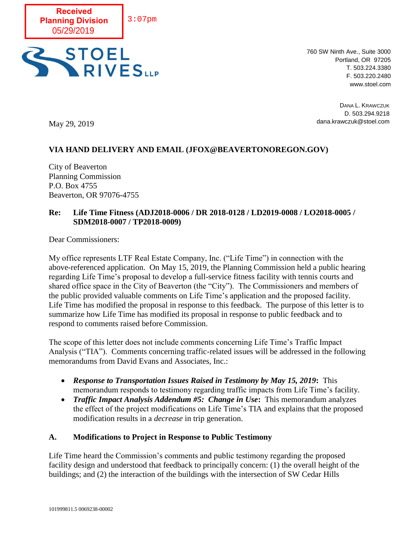



760 SW Ninth Ave., Suite 3000 Portland, OR 97205 T. 503.224.3380 F. 503.220.2480 www.stoel.com

DANA L. KRAWCZUK D. 503.294.9218 dana.krawczuk@stoel.com

May 29, 2019

# **VIA HAND DELIVERY AND EMAIL (JFOX@BEAVERTONOREGON.GOV)**

City of Beaverton Planning Commission P.O. Box 4755 Beaverton, OR 97076-4755

## **Re: Life Time Fitness (ADJ2018-0006 / DR 2018-0128 / LD2019-0008 / LO2018-0005 / SDM2018-0007 / TP2018-0009)**

Dear Commissioners:

My office represents LTF Real Estate Company, Inc. ("Life Time") in connection with the above-referenced application. On May 15, 2019, the Planning Commission held a public hearing regarding Life Time's proposal to develop a full-service fitness facility with tennis courts and shared office space in the City of Beaverton (the "City"). The Commissioners and members of the public provided valuable comments on Life Time's application and the proposed facility. Life Time has modified the proposal in response to this feedback. The purpose of this letter is to summarize how Life Time has modified its proposal in response to public feedback and to respond to comments raised before Commission.

The scope of this letter does not include comments concerning Life Time's Traffic Impact Analysis ("TIA"). Comments concerning traffic-related issues will be addressed in the following memorandums from David Evans and Associates, Inc.:

- *Response to Transportation Issues Raised in Testimony by May 15, 2019***:** This memorandum responds to testimony regarding traffic impacts from Life Time's facility.
- *Traffic Impact Analysis Addendum #5: Change in Use***:** This memorandum analyzes the effect of the project modifications on Life Time's TIA and explains that the proposed modification results in a *decrease* in trip generation.

## **A. Modifications to Project in Response to Public Testimony**

Life Time heard the Commission's comments and public testimony regarding the proposed facility design and understood that feedback to principally concern: (1) the overall height of the buildings; and (2) the interaction of the buildings with the intersection of SW Cedar Hills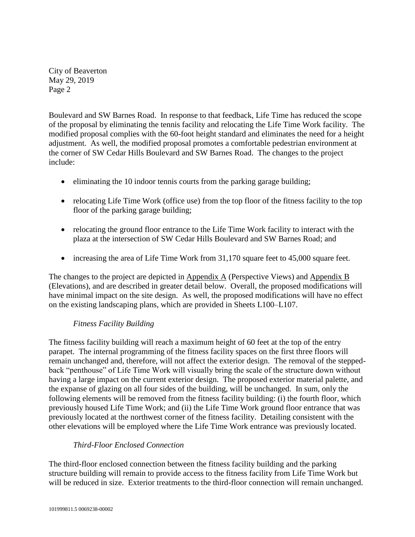Boulevard and SW Barnes Road. In response to that feedback, Life Time has reduced the scope of the proposal by eliminating the tennis facility and relocating the Life Time Work facility. The modified proposal complies with the 60-foot height standard and eliminates the need for a height adjustment. As well, the modified proposal promotes a comfortable pedestrian environment at the corner of SW Cedar Hills Boulevard and SW Barnes Road. The changes to the project include:

- eliminating the 10 indoor tennis courts from the parking garage building;
- relocating Life Time Work (office use) from the top floor of the fitness facility to the top floor of the parking garage building;
- relocating the ground floor entrance to the Life Time Work facility to interact with the plaza at the intersection of SW Cedar Hills Boulevard and SW Barnes Road; and
- increasing the area of Life Time Work from 31,170 square feet to 45,000 square feet.

The changes to the project are depicted in Appendix A (Perspective Views) and Appendix B (Elevations), and are described in greater detail below. Overall, the proposed modifications will have minimal impact on the site design. As well, the proposed modifications will have no effect on the existing landscaping plans, which are provided in Sheets L100–L107.

# *Fitness Facility Building*

The fitness facility building will reach a maximum height of 60 feet at the top of the entry parapet. The internal programming of the fitness facility spaces on the first three floors will remain unchanged and, therefore, will not affect the exterior design. The removal of the steppedback "penthouse" of Life Time Work will visually bring the scale of the structure down without having a large impact on the current exterior design. The proposed exterior material palette, and the expanse of glazing on all four sides of the building, will be unchanged. In sum, only the following elements will be removed from the fitness facility building: (i) the fourth floor, which previously housed Life Time Work; and (ii) the Life Time Work ground floor entrance that was previously located at the northwest corner of the fitness facility. Detailing consistent with the other elevations will be employed where the Life Time Work entrance was previously located.

# *Third-Floor Enclosed Connection*

The third-floor enclosed connection between the fitness facility building and the parking structure building will remain to provide access to the fitness facility from Life Time Work but will be reduced in size. Exterior treatments to the third-floor connection will remain unchanged.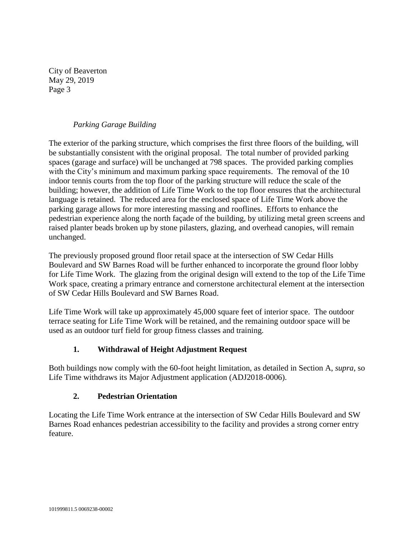# *Parking Garage Building*

The exterior of the parking structure, which comprises the first three floors of the building, will be substantially consistent with the original proposal. The total number of provided parking spaces (garage and surface) will be unchanged at 798 spaces. The provided parking complies with the City's minimum and maximum parking space requirements. The removal of the 10 indoor tennis courts from the top floor of the parking structure will reduce the scale of the building; however, the addition of Life Time Work to the top floor ensures that the architectural language is retained. The reduced area for the enclosed space of Life Time Work above the parking garage allows for more interesting massing and rooflines. Efforts to enhance the pedestrian experience along the north façade of the building, by utilizing metal green screens and raised planter beads broken up by stone pilasters, glazing, and overhead canopies, will remain unchanged.

The previously proposed ground floor retail space at the intersection of SW Cedar Hills Boulevard and SW Barnes Road will be further enhanced to incorporate the ground floor lobby for Life Time Work. The glazing from the original design will extend to the top of the Life Time Work space, creating a primary entrance and cornerstone architectural element at the intersection of SW Cedar Hills Boulevard and SW Barnes Road.

Life Time Work will take up approximately 45,000 square feet of interior space. The outdoor terrace seating for Life Time Work will be retained, and the remaining outdoor space will be used as an outdoor turf field for group fitness classes and training.

# **1. Withdrawal of Height Adjustment Request**

Both buildings now comply with the 60-foot height limitation, as detailed in Section A, *supra*, so Life Time withdraws its Major Adjustment application (ADJ2018-0006).

# **2. Pedestrian Orientation**

Locating the Life Time Work entrance at the intersection of SW Cedar Hills Boulevard and SW Barnes Road enhances pedestrian accessibility to the facility and provides a strong corner entry feature.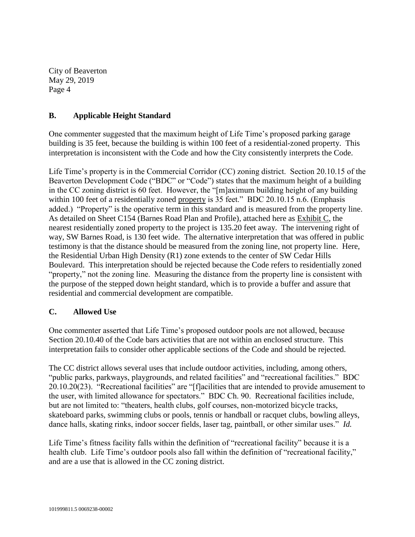## **B. Applicable Height Standard**

One commenter suggested that the maximum height of Life Time's proposed parking garage building is 35 feet, because the building is within 100 feet of a residential-zoned property. This interpretation is inconsistent with the Code and how the City consistently interprets the Code.

Life Time's property is in the Commercial Corridor (CC) zoning district. Section 20.10.15 of the Beaverton Development Code ("BDC" or "Code") states that the maximum height of a building in the CC zoning district is 60 feet. However, the "[m]aximum building height of any building within 100 feet of a residentially zoned property is 35 feet." BDC 20.10.15 n.6. (Emphasis added.) "Property" is the operative term in this standard and is measured from the property line. As detailed on Sheet C154 (Barnes Road Plan and Profile), attached here as Exhibit C, the nearest residentially zoned property to the project is 135.20 feet away. The intervening right of way, SW Barnes Road, is 130 feet wide. The alternative interpretation that was offered in public testimony is that the distance should be measured from the zoning line, not property line. Here, the Residential Urban High Density (R1) zone extends to the center of SW Cedar Hills Boulevard. This interpretation should be rejected because the Code refers to residentially zoned "property," not the zoning line. Measuring the distance from the property line is consistent with the purpose of the stepped down height standard, which is to provide a buffer and assure that residential and commercial development are compatible.

## **C. Allowed Use**

One commenter asserted that Life Time's proposed outdoor pools are not allowed, because Section 20.10.40 of the Code bars activities that are not within an enclosed structure. This interpretation fails to consider other applicable sections of the Code and should be rejected.

The CC district allows several uses that include outdoor activities, including, among others, "public parks, parkways, playgrounds, and related facilities" and "recreational facilities." BDC 20.10.20(23). "Recreational facilities" are "[f]acilities that are intended to provide amusement to the user, with limited allowance for spectators." BDC Ch. 90. Recreational facilities include, but are not limited to: "theaters, health clubs, golf courses, non-motorized bicycle tracks, skateboard parks, swimming clubs or pools, tennis or handball or racquet clubs, bowling alleys, dance halls, skating rinks, indoor soccer fields, laser tag, paintball, or other similar uses." *Id.*

Life Time's fitness facility falls within the definition of "recreational facility" because it is a health club. Life Time's outdoor pools also fall within the definition of "recreational facility," and are a use that is allowed in the CC zoning district.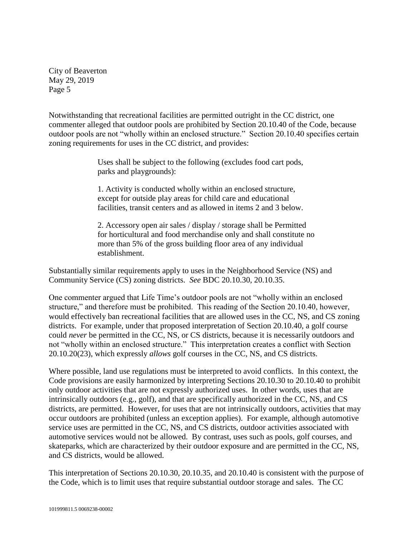Notwithstanding that recreational facilities are permitted outright in the CC district, one commenter alleged that outdoor pools are prohibited by Section 20.10.40 of the Code, because outdoor pools are not "wholly within an enclosed structure." Section 20.10.40 specifies certain zoning requirements for uses in the CC district, and provides:

> Uses shall be subject to the following (excludes food cart pods, parks and playgrounds):

> 1. Activity is conducted wholly within an enclosed structure, except for outside play areas for child care and educational facilities, transit centers and as allowed in items 2 and 3 below.

2. Accessory open air sales / display / storage shall be Permitted for horticultural and food merchandise only and shall constitute no more than 5% of the gross building floor area of any individual establishment.

Substantially similar requirements apply to uses in the Neighborhood Service (NS) and Community Service (CS) zoning districts. *See* BDC 20.10.30, 20.10.35.

One commenter argued that Life Time's outdoor pools are not "wholly within an enclosed structure," and therefore must be prohibited. This reading of the Section 20.10.40, however, would effectively ban recreational facilities that are allowed uses in the CC, NS, and CS zoning districts. For example, under that proposed interpretation of Section 20.10.40, a golf course could *never* be permitted in the CC, NS, or CS districts, because it is necessarily outdoors and not "wholly within an enclosed structure." This interpretation creates a conflict with Section 20.10.20(23), which expressly *allows* golf courses in the CC, NS, and CS districts.

Where possible, land use regulations must be interpreted to avoid conflicts. In this context, the Code provisions are easily harmonized by interpreting Sections 20.10.30 to 20.10.40 to prohibit only outdoor activities that are not expressly authorized uses. In other words, uses that are intrinsically outdoors (e.g., golf), and that are specifically authorized in the CC, NS, and CS districts, are permitted. However, for uses that are not intrinsically outdoors, activities that may occur outdoors are prohibited (unless an exception applies). For example, although automotive service uses are permitted in the CC, NS, and CS districts, outdoor activities associated with automotive services would not be allowed. By contrast, uses such as pools, golf courses, and skateparks, which are characterized by their outdoor exposure and are permitted in the CC, NS, and CS districts, would be allowed.

This interpretation of Sections 20.10.30, 20.10.35, and 20.10.40 is consistent with the purpose of the Code, which is to limit uses that require substantial outdoor storage and sales. The CC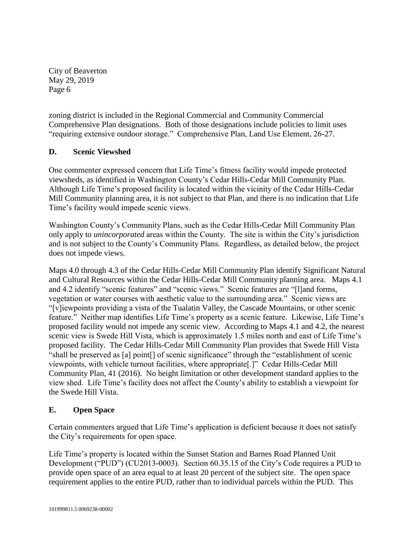zoning district is included in the Regional Commercial and Community Commercial Comprehensive Plan designations. Both of those designations include policies to limit uses "requiring extensive outdoor storage." Comprehensive Plan, Land Use Element, 26-27.

# **D. Scenic Viewshed**

One commenter expressed concern that Life Time's fitness facility would impede protected viewsheds, as identified in Washington County's Cedar Hills-Cedar Mill Community Plan. Although Life Time's proposed facility is located within the vicinity of the Cedar Hills-Cedar Mill Community planning area, it is not subject to that Plan, and there is no indication that Life Time's facility would impede scenic views.

Washington County's Community Plans, such as the Cedar Hills-Cedar Mill Community Plan only apply to *unincorporated* areas within the County. The site is within the City's jurisdiction and is not subject to the County's Community Plans. Regardless, as detailed below, the project does not impede views.

Maps 4.0 through 4.3 of the Cedar Hills-Cedar Mill Community Plan identify Significant Natural and Cultural Resources within the Cedar Hills-Cedar Mill Community planning area. Maps 4.1 and 4.2 identify "scenic features" and "scenic views." Scenic features are "[l]and forms, vegetation or water courses with aesthetic value to the surrounding area." Scenic views are "[v]iewpoints providing a vista of the Tualatin Valley, the Cascade Mountains, or other scenic feature." Neither map identifies Life Time's property as a scenic feature. Likewise, Life Time's proposed facility would not impede any scenic view. According to Maps 4.1 and 4.2, the nearest scenic view is Swede Hill Vista, which is approximately 1.5 miles north and east of Life Time's proposed facility. The Cedar Hills-Cedar Mill Community Plan provides that Swede Hill Vista "shall be preserved as [a] point[] of scenic significance" through the "establishment of scenic viewpoints, with vehicle turnout facilities, where appropriate[.]" Cedar Hills-Cedar Mill Community Plan, 41 (2016). No height limitation or other development standard applies to the view shed. Life Time's facility does not affect the County's ability to establish a viewpoint for the Swede Hill Vista.

## **E. Open Space**

Certain commenters argued that Life Time's application is deficient because it does not satisfy the City's requirements for open space.

Life Time's property is located within the Sunset Station and Barnes Road Planned Unit Development ("PUD") (CU2013-0003). Section 60.35.15 of the City's Code requires a PUD to provide open space of an area equal to at least 20 percent of the subject site. The open space requirement applies to the entire PUD, rather than to individual parcels within the PUD. This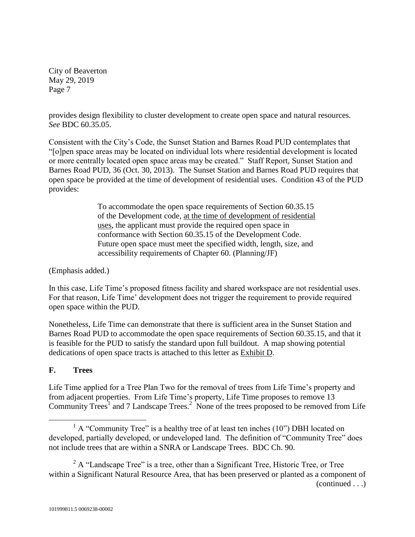provides design flexibility to cluster development to create open space and natural resources. *See* BDC 60.35.05.

Consistent with the City's Code, the Sunset Station and Barnes Road PUD contemplates that "[o]pen space areas may be located on individual lots where residential development is located or more centrally located open space areas may be created." Staff Report, Sunset Station and Barnes Road PUD, 36 (Oct. 30, 2013). The Sunset Station and Barnes Road PUD requires that open space be provided at the time of development of residential uses. Condition 43 of the PUD provides:

> To accommodate the open space requirements of Section 60.35.15 of the Development code, at the time of development of residential uses, the applicant must provide the required open space in conformance with Section 60.35.15 of the Development Code. Future open space must meet the specified width, length, size, and accessibility requirements of Chapter 60. (Planning/JF)

(Emphasis added.)

In this case, Life Time's proposed fitness facility and shared workspace are not residential uses. For that reason, Life Time' development does not trigger the requirement to provide required open space within the PUD.

Nonetheless, Life Time can demonstrate that there is sufficient area in the Sunset Station and Barnes Road PUD to accommodate the open space requirements of Section 60.35.15, and that it is feasible for the PUD to satisfy the standard upon full buildout. A map showing potential dedications of open space tracts is attached to this letter as Exhibit D.

# **F. Trees**

 $\overline{a}$ 

Life Time applied for a Tree Plan Two for the removal of trees from Life Time's property and from adjacent properties. From Life Time's property, Life Time proposes to remove 13 Community Trees<sup>1</sup> and 7 Landscape Trees.<sup>2</sup> None of the trees proposed to be removed from Life

 $<sup>1</sup>$  A "Community Tree" is a healthy tree of at least ten inches (10") DBH located on</sup> developed, partially developed, or undeveloped land. The definition of "Community Tree" does not include trees that are within a SNRA or Landscape Trees. BDC Ch. 90.

 $2^2$  A "Landscape Tree" is a tree, other than a Significant Tree, Historic Tree, or Tree within a Significant Natural Resource Area, that has been preserved or planted as a component of (continued . . .)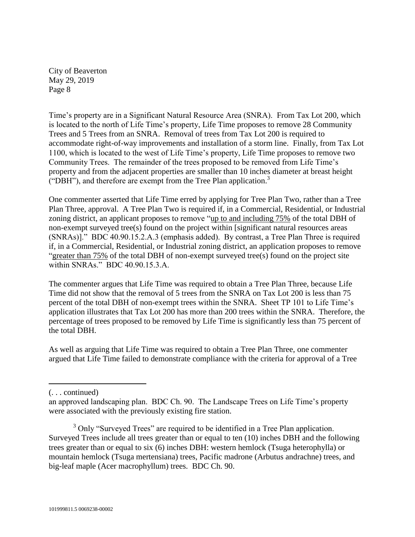Time's property are in a Significant Natural Resource Area (SNRA). From Tax Lot 200, which is located to the north of Life Time's property, Life Time proposes to remove 28 Community Trees and 5 Trees from an SNRA. Removal of trees from Tax Lot 200 is required to accommodate right-of-way improvements and installation of a storm line. Finally, from Tax Lot 1100, which is located to the west of Life Time's property, Life Time proposes to remove two Community Trees. The remainder of the trees proposed to be removed from Life Time's property and from the adjacent properties are smaller than 10 inches diameter at breast height  $($ "DBH"), and therefore are exempt from the Tree Plan application. $^3$ 

One commenter asserted that Life Time erred by applying for Tree Plan Two, rather than a Tree Plan Three, approval. A Tree Plan Two is required if, in a Commercial, Residential, or Industrial zoning district, an applicant proposes to remove "up to and including 75% of the total DBH of non-exempt surveyed tree(s) found on the project within [significant natural resources areas (SNRAs)]." BDC 40.90.15.2.A.3 (emphasis added). By contrast, a Tree Plan Three is required if, in a Commercial, Residential, or Industrial zoning district, an application proposes to remove "greater than 75% of the total DBH of non-exempt surveyed tree(s) found on the project site within SNRAs." BDC 40.90.15.3.A.

The commenter argues that Life Time was required to obtain a Tree Plan Three, because Life Time did not show that the removal of 5 trees from the SNRA on Tax Lot 200 is less than 75 percent of the total DBH of non-exempt trees within the SNRA. Sheet TP 101 to Life Time's application illustrates that Tax Lot 200 has more than 200 trees within the SNRA. Therefore, the percentage of trees proposed to be removed by Life Time is significantly less than 75 percent of the total DBH.

As well as arguing that Life Time was required to obtain a Tree Plan Three, one commenter argued that Life Time failed to demonstrate compliance with the criteria for approval of a Tree

 $\overline{a}$ 

<sup>(. . .</sup> continued)

an approved landscaping plan. BDC Ch. 90. The Landscape Trees on Life Time's property were associated with the previously existing fire station.

<sup>&</sup>lt;sup>3</sup> Only "Surveyed Trees" are required to be identified in a Tree Plan application. Surveyed Trees include all trees greater than or equal to ten (10) inches DBH and the following trees greater than or equal to six (6) inches DBH: western hemlock (Tsuga heterophylla) or mountain hemlock (Tsuga mertensiana) trees, Pacific madrone (Arbutus andrachne) trees, and big-leaf maple (Acer macrophyllum) trees. BDC Ch. 90.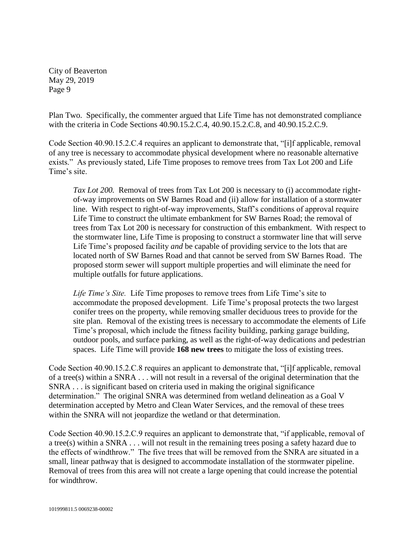Plan Two. Specifically, the commenter argued that Life Time has not demonstrated compliance with the criteria in Code Sections 40.90.15.2.C.4, 40.90.15.2.C.8, and 40.90.15.2.C.9.

Code Section 40.90.15.2.C.4 requires an applicant to demonstrate that, "[i]f applicable, removal of any tree is necessary to accommodate physical development where no reasonable alternative exists." As previously stated, Life Time proposes to remove trees from Tax Lot 200 and Life Time's site.

*Tax Lot 200.* Removal of trees from Tax Lot 200 is necessary to (i) accommodate rightof-way improvements on SW Barnes Road and (ii) allow for installation of a stormwater line. With respect to right-of-way improvements, Staff's conditions of approval require Life Time to construct the ultimate embankment for SW Barnes Road; the removal of trees from Tax Lot 200 is necessary for construction of this embankment. With respect to the stormwater line, Life Time is proposing to construct a stormwater line that will serve Life Time's proposed facility *and* be capable of providing service to the lots that are located north of SW Barnes Road and that cannot be served from SW Barnes Road. The proposed storm sewer will support multiple properties and will eliminate the need for multiple outfalls for future applications.

*Life Time's Site.* Life Time proposes to remove trees from Life Time's site to accommodate the proposed development. Life Time's proposal protects the two largest conifer trees on the property, while removing smaller deciduous trees to provide for the site plan. Removal of the existing trees is necessary to accommodate the elements of Life Time's proposal, which include the fitness facility building, parking garage building, outdoor pools, and surface parking, as well as the right-of-way dedications and pedestrian spaces. Life Time will provide **168 new trees** to mitigate the loss of existing trees.

Code Section 40.90.15.2.C.8 requires an applicant to demonstrate that, "[i]f applicable, removal of a tree(s) within a SNRA . . . will not result in a reversal of the original determination that the SNRA . . . is significant based on criteria used in making the original significance determination." The original SNRA was determined from wetland delineation as a Goal V determination accepted by Metro and Clean Water Services, and the removal of these trees within the SNRA will not jeopardize the wetland or that determination.

Code Section 40.90.15.2.C.9 requires an applicant to demonstrate that, "if applicable, removal of a tree(s) within a SNRA . . . will not result in the remaining trees posing a safety hazard due to the effects of windthrow." The five trees that will be removed from the SNRA are situated in a small, linear pathway that is designed to accommodate installation of the stormwater pipeline. Removal of trees from this area will not create a large opening that could increase the potential for windthrow.